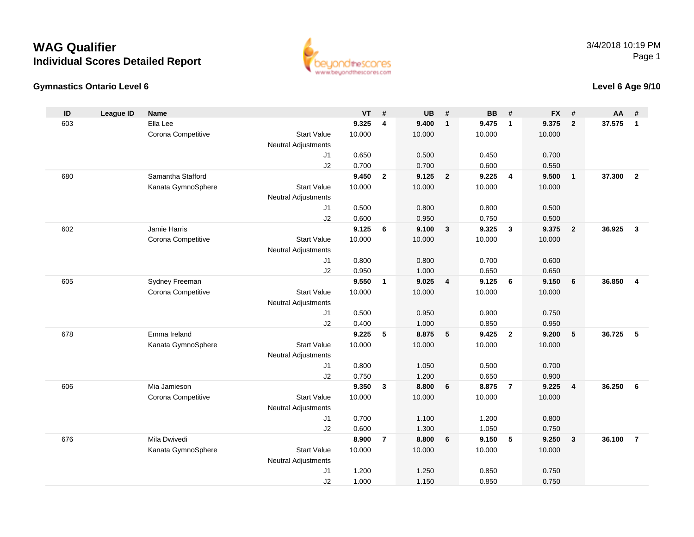#### **Gymnastics Ontario Level 6**

www.beyondthescores.com

#### **Level 6 Age 9/10**

| ID  | <b>League ID</b> | <b>Name</b>        |                            | <b>VT</b> | #              | <b>UB</b> | #                       | <b>BB</b> | #                       | <b>FX</b> | #                       | AA     | #                       |
|-----|------------------|--------------------|----------------------------|-----------|----------------|-----------|-------------------------|-----------|-------------------------|-----------|-------------------------|--------|-------------------------|
| 603 |                  | Ella Lee           |                            | 9.325     | 4              | 9.400     | $\overline{1}$          | 9.475     | $\mathbf{1}$            | 9.375     | $\overline{2}$          | 37.575 | $\mathbf{1}$            |
|     |                  | Corona Competitive | <b>Start Value</b>         | 10.000    |                | 10.000    |                         | 10.000    |                         | 10.000    |                         |        |                         |
|     |                  |                    | <b>Neutral Adjustments</b> |           |                |           |                         |           |                         |           |                         |        |                         |
|     |                  |                    | J <sub>1</sub>             | 0.650     |                | 0.500     |                         | 0.450     |                         | 0.700     |                         |        |                         |
|     |                  |                    | J2                         | 0.700     |                | 0.700     |                         | 0.600     |                         | 0.550     |                         |        |                         |
| 680 |                  | Samantha Stafford  |                            | 9.450     | $\overline{2}$ | 9.125     | $\overline{2}$          | 9.225     | $\overline{4}$          | 9.500     | $\mathbf{1}$            | 37.300 | $\overline{2}$          |
|     |                  | Kanata GymnoSphere | <b>Start Value</b>         | 10.000    |                | 10.000    |                         | 10.000    |                         | 10.000    |                         |        |                         |
|     |                  |                    | <b>Neutral Adjustments</b> |           |                |           |                         |           |                         |           |                         |        |                         |
|     |                  |                    | J <sub>1</sub>             | 0.500     |                | 0.800     |                         | 0.800     |                         | 0.500     |                         |        |                         |
|     |                  |                    | J2                         | 0.600     |                | 0.950     |                         | 0.750     |                         | 0.500     |                         |        |                         |
| 602 |                  | Jamie Harris       |                            | 9.125     | 6              | 9.100     | $\overline{\mathbf{3}}$ | 9.325     | $\overline{\mathbf{3}}$ | 9.375     | $\overline{2}$          | 36.925 | $\overline{3}$          |
|     |                  | Corona Competitive | <b>Start Value</b>         | 10.000    |                | 10.000    |                         | 10.000    |                         | 10.000    |                         |        |                         |
|     |                  |                    | <b>Neutral Adjustments</b> |           |                |           |                         |           |                         |           |                         |        |                         |
|     |                  |                    | J1                         | 0.800     |                | 0.800     |                         | 0.700     |                         | 0.600     |                         |        |                         |
|     |                  |                    | J2                         | 0.950     |                | 1.000     |                         | 0.650     |                         | 0.650     |                         |        |                         |
| 605 |                  | Sydney Freeman     |                            | 9.550     | $\mathbf{1}$   | 9.025     | $\overline{4}$          | 9.125     | 6                       | 9.150     | 6                       | 36.850 | $\overline{\mathbf{4}}$ |
|     |                  | Corona Competitive | <b>Start Value</b>         | 10.000    |                | 10.000    |                         | 10.000    |                         | 10.000    |                         |        |                         |
|     |                  |                    | <b>Neutral Adjustments</b> |           |                |           |                         |           |                         |           |                         |        |                         |
|     |                  |                    | J <sub>1</sub>             | 0.500     |                | 0.950     |                         | 0.900     |                         | 0.750     |                         |        |                         |
|     |                  |                    | J2                         | 0.400     |                | 1.000     |                         | 0.850     |                         | 0.950     |                         |        |                         |
| 678 |                  | Emma Ireland       |                            | 9.225     | 5              | 8.875     | 5                       | 9.425     | $\overline{\mathbf{2}}$ | 9.200     | 5                       | 36.725 | 5                       |
|     |                  | Kanata GymnoSphere | <b>Start Value</b>         | 10.000    |                | 10.000    |                         | 10.000    |                         | 10.000    |                         |        |                         |
|     |                  |                    | <b>Neutral Adjustments</b> |           |                |           |                         |           |                         |           |                         |        |                         |
|     |                  |                    | J1                         | 0.800     |                | 1.050     |                         | 0.500     |                         | 0.700     |                         |        |                         |
|     |                  |                    | J2                         | 0.750     |                | 1.200     |                         | 0.650     |                         | 0.900     |                         |        |                         |
| 606 |                  | Mia Jamieson       |                            | 9.350     | $\mathbf{3}$   | 8.800     | 6                       | 8.875     | $\overline{7}$          | 9.225     | $\overline{\mathbf{4}}$ | 36.250 | 6                       |
|     |                  | Corona Competitive | <b>Start Value</b>         | 10.000    |                | 10.000    |                         | 10.000    |                         | 10.000    |                         |        |                         |
|     |                  |                    | <b>Neutral Adjustments</b> |           |                |           |                         |           |                         |           |                         |        |                         |
|     |                  |                    | J1                         | 0.700     |                | 1.100     |                         | 1.200     |                         | 0.800     |                         |        |                         |
|     |                  |                    | J2                         | 0.600     |                | 1.300     |                         | 1.050     |                         | 0.750     |                         |        |                         |
| 676 |                  | Mila Dwivedi       |                            | 8.900     | $\overline{7}$ | 8.800     | 6                       | 9.150     | 5                       | 9.250     | $\mathbf{3}$            | 36.100 | $\overline{7}$          |
|     |                  | Kanata GymnoSphere | <b>Start Value</b>         | 10.000    |                | 10.000    |                         | 10.000    |                         | 10.000    |                         |        |                         |
|     |                  |                    | <b>Neutral Adjustments</b> |           |                |           |                         |           |                         |           |                         |        |                         |
|     |                  |                    | J1                         | 1.200     |                | 1.250     |                         | 0.850     |                         | 0.750     |                         |        |                         |
|     |                  |                    | J2                         | 1.000     |                | 1.150     |                         | 0.850     |                         | 0.750     |                         |        |                         |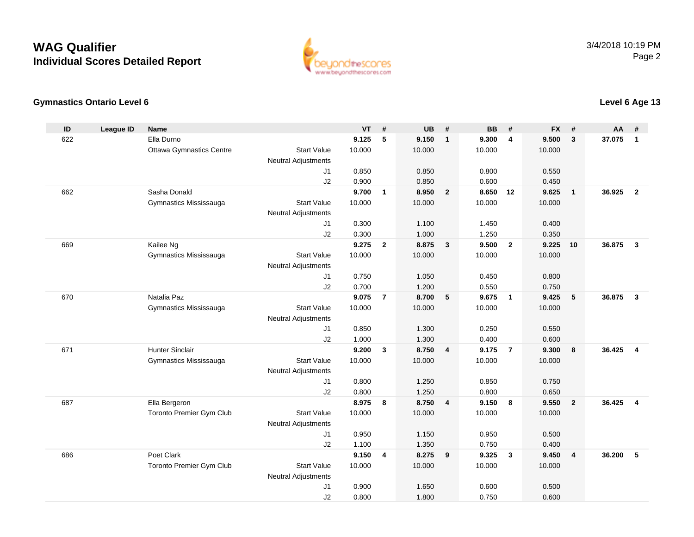

#### **Gymnastics Ontario Level 6**

| ID  | <b>League ID</b> | <b>Name</b>                     |                            | <b>VT</b>      | #              | <b>UB</b>      | #                       | <b>BB</b>      | #                       | <b>FX</b>      | #              | AA     | #                       |
|-----|------------------|---------------------------------|----------------------------|----------------|----------------|----------------|-------------------------|----------------|-------------------------|----------------|----------------|--------|-------------------------|
| 622 |                  | Ella Durno                      |                            | 9.125          | 5              | 9.150          | $\mathbf{1}$            | 9.300          | $\overline{\mathbf{4}}$ | 9.500          | 3              | 37.075 | $\overline{1}$          |
|     |                  | <b>Ottawa Gymnastics Centre</b> | <b>Start Value</b>         | 10.000         |                | 10.000         |                         | 10.000         |                         | 10.000         |                |        |                         |
|     |                  |                                 | <b>Neutral Adjustments</b> |                |                |                |                         |                |                         |                |                |        |                         |
|     |                  |                                 | J <sub>1</sub>             | 0.850          |                | 0.850          |                         | 0.800          |                         | 0.550          |                |        |                         |
|     |                  |                                 | J2                         | 0.900          |                | 0.850          |                         | 0.600          |                         | 0.450          |                |        |                         |
| 662 |                  | Sasha Donald                    |                            | 9.700          | $\mathbf{1}$   | 8.950          | $\overline{2}$          | 8.650          | 12                      | 9.625          | $\overline{1}$ | 36.925 | $\overline{2}$          |
|     |                  | Gymnastics Mississauga          | <b>Start Value</b>         | 10.000         |                | 10.000         |                         | 10.000         |                         | 10.000         |                |        |                         |
|     |                  |                                 | <b>Neutral Adjustments</b> |                |                |                |                         |                |                         |                |                |        |                         |
|     |                  |                                 | J1                         | 0.300          |                | 1.100          |                         | 1.450          |                         | 0.400          |                |        |                         |
|     |                  |                                 | J2                         | 0.300          |                | 1.000          |                         | 1.250          |                         | 0.350          |                |        |                         |
| 669 |                  | Kailee Ng                       |                            | 9.275          | $\overline{2}$ | 8.875          | $\mathbf{3}$            | 9.500          | $\overline{2}$          | 9.225          | 10             | 36.875 | $\overline{\mathbf{3}}$ |
|     |                  | Gymnastics Mississauga          | <b>Start Value</b>         | 10.000         |                | 10.000         |                         | 10.000         |                         | 10.000         |                |        |                         |
|     |                  |                                 | <b>Neutral Adjustments</b> |                |                |                |                         |                |                         |                |                |        |                         |
|     |                  |                                 | J1                         | 0.750          |                | 1.050          |                         | 0.450          |                         | 0.800          |                |        |                         |
|     |                  |                                 | J2                         | 0.700          |                | 1.200          |                         | 0.550          |                         | 0.750          |                |        |                         |
| 670 |                  | Natalia Paz                     |                            | 9.075          | $\overline{7}$ | 8.700          | 5                       | 9.675          | $\overline{1}$          | 9.425          | 5              | 36.875 | $\overline{3}$          |
|     |                  | Gymnastics Mississauga          | <b>Start Value</b>         | 10.000         |                | 10.000         |                         | 10.000         |                         | 10.000         |                |        |                         |
|     |                  |                                 | <b>Neutral Adjustments</b> |                |                |                |                         |                |                         |                |                |        |                         |
|     |                  |                                 | J <sub>1</sub>             | 0.850          |                | 1.300          |                         | 0.250          |                         | 0.550          |                |        |                         |
|     |                  |                                 | J2                         | 1.000          |                | 1.300          |                         | 0.400          |                         | 0.600          |                |        |                         |
| 671 |                  | <b>Hunter Sinclair</b>          |                            | 9.200          | $\mathbf{3}$   | 8.750          | $\overline{4}$          | 9.175          | $\overline{7}$          | 9.300          | 8              | 36.425 | $\overline{4}$          |
|     |                  | Gymnastics Mississauga          | <b>Start Value</b>         | 10.000         |                | 10.000         |                         | 10.000         |                         | 10.000         |                |        |                         |
|     |                  |                                 | <b>Neutral Adjustments</b> |                |                |                |                         |                |                         |                |                |        |                         |
|     |                  |                                 | J1                         | 0.800          |                | 1.250          |                         | 0.850          |                         | 0.750          |                |        |                         |
|     |                  |                                 | J2                         | 0.800          |                | 1.250          |                         | 0.800          |                         | 0.650          |                |        |                         |
| 687 |                  | Ella Bergeron                   |                            | 8.975          | 8              | 8.750          | $\overline{\mathbf{4}}$ | 9.150          | 8                       | 9.550          | $\overline{2}$ | 36.425 | $\overline{\mathbf{4}}$ |
|     |                  | Toronto Premier Gym Club        | <b>Start Value</b>         | 10.000         |                | 10.000         |                         | 10.000         |                         | 10.000         |                |        |                         |
|     |                  |                                 | <b>Neutral Adjustments</b> |                |                |                |                         |                |                         |                |                |        |                         |
|     |                  |                                 | J1                         | 0.950          |                | 1.150          |                         | 0.950          |                         | 0.500          |                |        |                         |
| 686 |                  | Poet Clark                      | J2                         | 1.100<br>9.150 | $\overline{4}$ | 1.350<br>8.275 | 9                       | 0.750<br>9.325 | $\mathbf{3}$            | 0.400<br>9.450 | $\overline{4}$ | 36.200 | 5                       |
|     |                  |                                 | <b>Start Value</b>         | 10.000         |                | 10.000         |                         | 10.000         |                         | 10.000         |                |        |                         |
|     |                  | Toronto Premier Gym Club        | <b>Neutral Adjustments</b> |                |                |                |                         |                |                         |                |                |        |                         |
|     |                  |                                 | J <sub>1</sub>             | 0.900          |                | 1.650          |                         | 0.600          |                         | 0.500          |                |        |                         |
|     |                  |                                 | J2                         | 0.800          |                | 1.800          |                         | 0.750          |                         | 0.600          |                |        |                         |
|     |                  |                                 |                            |                |                |                |                         |                |                         |                |                |        |                         |

#### **Level 6 Age 13**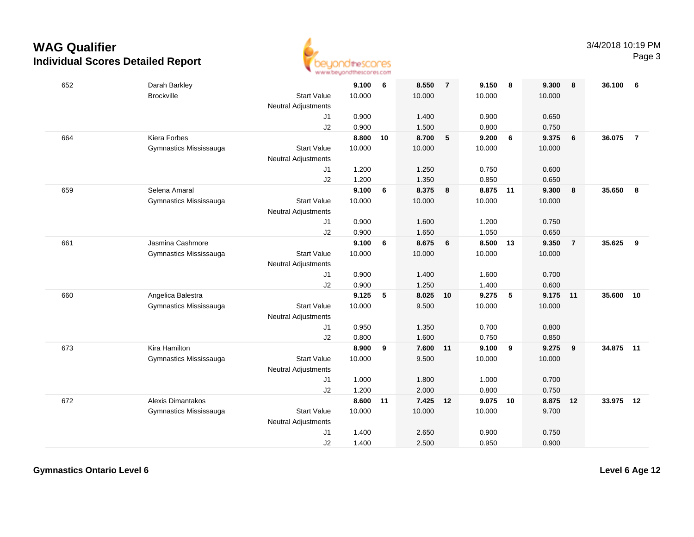

| 652 | Darah Barkley            |                            | 9.100  | - 6 | 8.550    | $\overline{7}$          | 9.150    | 8  | 9.300  | 8              | 36.100 | 6              |
|-----|--------------------------|----------------------------|--------|-----|----------|-------------------------|----------|----|--------|----------------|--------|----------------|
|     | <b>Brockville</b>        | <b>Start Value</b>         | 10.000 |     | 10.000   |                         | 10.000   |    | 10.000 |                |        |                |
|     |                          | <b>Neutral Adjustments</b> |        |     |          |                         |          |    |        |                |        |                |
|     |                          | J1                         | 0.900  |     | 1.400    |                         | 0.900    |    | 0.650  |                |        |                |
|     |                          | J2                         | 0.900  |     | 1.500    |                         | 0.800    |    | 0.750  |                |        |                |
| 664 | Kiera Forbes             |                            | 8.800  | 10  | 8.700    | $5\phantom{.0}$         | 9.200    | 6  | 9.375  | 6              | 36.075 | $\overline{7}$ |
|     | Gymnastics Mississauga   | <b>Start Value</b>         | 10.000 |     | 10.000   |                         | 10.000   |    | 10.000 |                |        |                |
|     |                          | <b>Neutral Adjustments</b> |        |     |          |                         |          |    |        |                |        |                |
|     |                          | J1                         | 1.200  |     | 1.250    |                         | 0.750    |    | 0.600  |                |        |                |
|     |                          | J2                         | 1.200  |     | 1.350    |                         | 0.850    |    | 0.650  |                |        |                |
| 659 | Selena Amaral            |                            | 9.100  | 6   | 8.375    | $\overline{\mathbf{8}}$ | 8.875    | 11 | 9.300  | 8              | 35.650 | 8              |
|     | Gymnastics Mississauga   | <b>Start Value</b>         | 10.000 |     | 10.000   |                         | 10.000   |    | 10.000 |                |        |                |
|     |                          | <b>Neutral Adjustments</b> |        |     |          |                         |          |    |        |                |        |                |
|     |                          | J1                         | 0.900  |     | 1.600    |                         | 1.200    |    | 0.750  |                |        |                |
|     |                          | J2                         | 0.900  |     | 1.650    |                         | 1.050    |    | 0.650  |                |        |                |
| 661 | Jasmina Cashmore         |                            | 9.100  | 6   | 8.675    | $6\overline{6}$         | 8.500    | 13 | 9.350  | $\overline{7}$ | 35.625 | 9              |
|     | Gymnastics Mississauga   | <b>Start Value</b>         | 10.000 |     | 10.000   |                         | 10.000   |    | 10.000 |                |        |                |
|     |                          | <b>Neutral Adjustments</b> |        |     |          |                         |          |    |        |                |        |                |
|     |                          | J1                         | 0.900  |     | 1.400    |                         | 1.600    |    | 0.700  |                |        |                |
|     |                          | J2                         | 0.900  |     | 1.250    |                         | 1.400    |    | 0.600  |                |        |                |
| 660 | Angelica Balestra        |                            | 9.125  | 5   | 8.025    | 10                      | 9.275    | 5  | 9.175  | 11             | 35.600 | 10             |
|     | Gymnastics Mississauga   | <b>Start Value</b>         | 10.000 |     | 9.500    |                         | 10.000   |    | 10.000 |                |        |                |
|     |                          | Neutral Adjustments        |        |     |          |                         |          |    |        |                |        |                |
|     |                          | J1                         | 0.950  |     | 1.350    |                         | 0.700    |    | 0.800  |                |        |                |
|     |                          | J2                         | 0.800  |     | 1.600    |                         | 0.750    |    | 0.850  |                |        |                |
| 673 | Kira Hamilton            |                            | 8.900  | 9   | 7.600 11 |                         | 9.100    | 9  | 9.275  | 9              | 34.875 | 11             |
|     | Gymnastics Mississauga   | <b>Start Value</b>         | 10.000 |     | 9.500    |                         | 10.000   |    | 10.000 |                |        |                |
|     |                          | <b>Neutral Adjustments</b> |        |     |          |                         |          |    |        |                |        |                |
|     |                          | J1                         | 1.000  |     | 1.800    |                         | 1.000    |    | 0.700  |                |        |                |
|     |                          | J2                         | 1.200  |     | 2.000    |                         | 0.800    |    | 0.750  |                |        |                |
| 672 | <b>Alexis Dimantakos</b> |                            | 8.600  | 11  | 7.425 12 |                         | 9.075 10 |    | 8.875  | 12             | 33.975 | 12             |
|     | Gymnastics Mississauga   | <b>Start Value</b>         | 10.000 |     | 10.000   |                         | 10.000   |    | 9.700  |                |        |                |
|     |                          | <b>Neutral Adjustments</b> |        |     |          |                         |          |    |        |                |        |                |
|     |                          | J1                         | 1.400  |     | 2.650    |                         | 0.900    |    | 0.750  |                |        |                |
|     |                          | J2                         | 1.400  |     | 2.500    |                         | 0.950    |    | 0.900  |                |        |                |

**Gymnastics Ontario Level 6**

**Level 6 Age 12**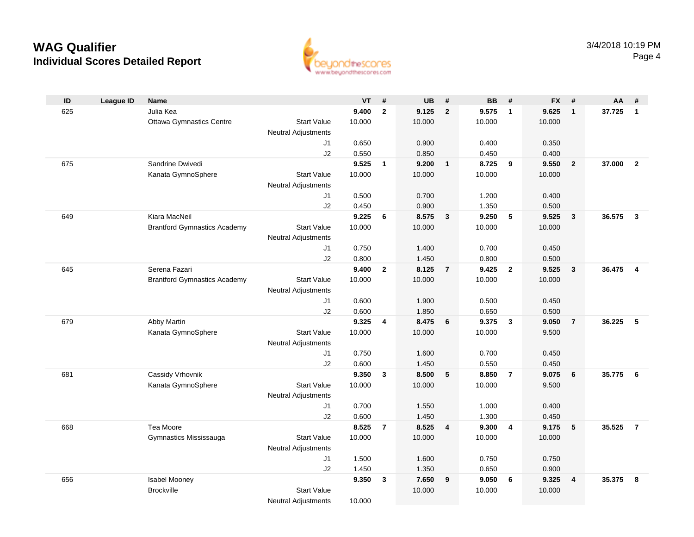

| ID  | <b>League ID</b> | <b>Name</b>                         |                            | VT             | - #            | UB             | #              | <b>BB</b>      | #              | <b>FX</b>      | #                       | AA     | #              |
|-----|------------------|-------------------------------------|----------------------------|----------------|----------------|----------------|----------------|----------------|----------------|----------------|-------------------------|--------|----------------|
| 625 |                  | Julia Kea                           |                            | 9.400          | $\overline{2}$ | 9.125          | $\overline{2}$ | 9.575          | $\overline{1}$ | 9.625          | $\overline{1}$          | 37.725 | $\overline{1}$ |
|     |                  | <b>Ottawa Gymnastics Centre</b>     | <b>Start Value</b>         | 10.000         |                | 10.000         |                | 10.000         |                | 10.000         |                         |        |                |
|     |                  |                                     | <b>Neutral Adjustments</b> |                |                |                |                |                |                |                |                         |        |                |
|     |                  |                                     | J1                         | 0.650          |                | 0.900          |                | 0.400          |                | 0.350          |                         |        |                |
|     |                  |                                     | J2                         | 0.550          |                | 0.850          |                | 0.450          |                | 0.400          |                         |        |                |
| 675 |                  | Sandrine Dwivedi                    |                            | 9.525          | $\overline{1}$ | 9.200          | $\mathbf{1}$   | 8.725          | 9              | 9.550          | $\overline{2}$          | 37.000 | $\overline{2}$ |
|     |                  | Kanata GymnoSphere                  | <b>Start Value</b>         | 10.000         |                | 10.000         |                | 10.000         |                | 10.000         |                         |        |                |
|     |                  |                                     | <b>Neutral Adjustments</b> |                |                |                |                |                |                |                |                         |        |                |
|     |                  |                                     | J1                         | 0.500          |                | 0.700          |                | 1.200          |                | 0.400          |                         |        |                |
|     |                  |                                     | J2                         | 0.450          |                | 0.900          |                | 1.350          |                | 0.500          |                         |        |                |
| 649 |                  | Kiara MacNeil                       |                            | 9.225          | 6              | 8.575          | $\mathbf{3}$   | 9.250          | 5              | 9.525          | $\overline{\mathbf{3}}$ | 36.575 | $\mathbf{3}$   |
|     |                  | <b>Brantford Gymnastics Academy</b> | <b>Start Value</b>         | 10.000         |                | 10.000         |                | 10.000         |                | 10.000         |                         |        |                |
|     |                  |                                     | <b>Neutral Adjustments</b> |                |                |                |                |                |                |                |                         |        |                |
|     |                  |                                     | J1                         | 0.750<br>0.800 |                | 1.400<br>1.450 |                | 0.700          |                | 0.450          |                         |        |                |
| 645 |                  | Serena Fazari                       | J2                         | 9.400          | $\mathbf{2}$   | 8.125          | $\overline{7}$ | 0.800<br>9.425 | $\overline{2}$ | 0.500<br>9.525 | $\mathbf{3}$            | 36.475 | $\overline{4}$ |
|     |                  | <b>Brantford Gymnastics Academy</b> | <b>Start Value</b>         | 10.000         |                | 10.000         |                | 10.000         |                | 10.000         |                         |        |                |
|     |                  |                                     | Neutral Adjustments        |                |                |                |                |                |                |                |                         |        |                |
|     |                  |                                     | J1                         | 0.600          |                | 1.900          |                | 0.500          |                | 0.450          |                         |        |                |
|     |                  |                                     | J2                         | 0.600          |                | 1.850          |                | 0.650          |                | 0.500          |                         |        |                |
| 679 |                  | Abby Martin                         |                            | 9.325          | 4              | 8.475          | 6              | 9.375          | 3              | 9.050          | $\overline{7}$          | 36.225 | -5             |
|     |                  | Kanata GymnoSphere                  | <b>Start Value</b>         | 10.000         |                | 10.000         |                | 10.000         |                | 9.500          |                         |        |                |
|     |                  |                                     | <b>Neutral Adjustments</b> |                |                |                |                |                |                |                |                         |        |                |
|     |                  |                                     | J1                         | 0.750          |                | 1.600          |                | 0.700          |                | 0.450          |                         |        |                |
|     |                  |                                     | J2                         | 0.600          |                | 1.450          |                | 0.550          |                | 0.450          |                         |        |                |
| 681 |                  | Cassidy Vrhovnik                    |                            | 9.350          | $\mathbf{3}$   | 8.500          | 5              | 8.850          | $\overline{7}$ | 9.075          | $6\phantom{1}6$         | 35.775 | - 6            |
|     |                  | Kanata GymnoSphere                  | <b>Start Value</b>         | 10.000         |                | 10.000         |                | 10.000         |                | 9.500          |                         |        |                |
|     |                  |                                     | <b>Neutral Adjustments</b> |                |                |                |                |                |                |                |                         |        |                |
|     |                  |                                     | J1                         | 0.700          |                | 1.550          |                | 1.000          |                | 0.400          |                         |        |                |
|     |                  |                                     | J2                         | 0.600          |                | 1.450          |                | 1.300          |                | 0.450          |                         |        |                |
| 668 |                  | Tea Moore                           |                            | 8.525          | $\overline{7}$ | 8.525          | $\overline{4}$ | 9.300          | $\overline{4}$ | 9.175          | 5                       | 35.525 | $\overline{7}$ |
|     |                  | Gymnastics Mississauga              | <b>Start Value</b>         | 10.000         |                | 10.000         |                | 10.000         |                | 10.000         |                         |        |                |
|     |                  |                                     | <b>Neutral Adjustments</b> |                |                |                |                |                |                |                |                         |        |                |
|     |                  |                                     | J1                         | 1.500          |                | 1.600          |                | 0.750          |                | 0.750          |                         |        |                |
|     |                  |                                     | J2                         | 1.450          |                | 1.350          |                | 0.650          |                | 0.900          |                         |        |                |
| 656 |                  | <b>Isabel Mooney</b>                |                            | 9.350          | $\mathbf{3}$   | 7.650          | 9              | 9.050          | 6              | 9.325          | 4                       | 35.375 | 8              |
|     |                  | <b>Brockville</b>                   | <b>Start Value</b>         |                |                | 10.000         |                | 10.000         |                | 10.000         |                         |        |                |
|     |                  |                                     | <b>Neutral Adjustments</b> | 10.000         |                |                |                |                |                |                |                         |        |                |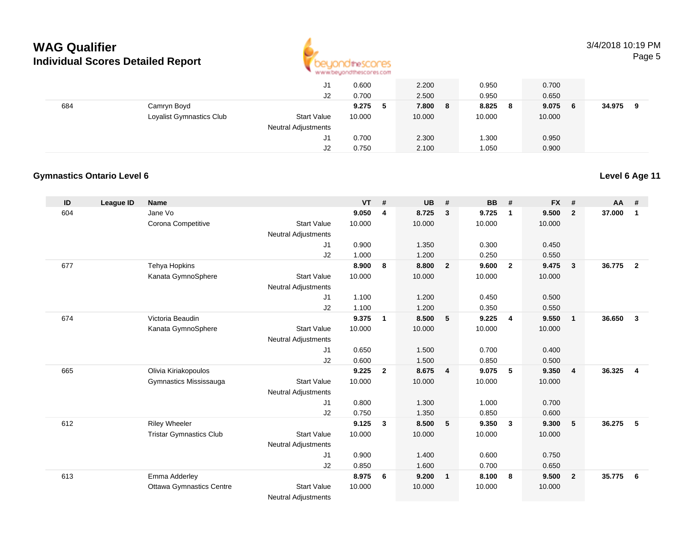

|     |                            | J1                 | 0.600      | 2.200      | 0.950        | 0.700       |             |
|-----|----------------------------|--------------------|------------|------------|--------------|-------------|-------------|
|     |                            | J2                 | 0.700      | 2.500      | 0.950        | 0.650       |             |
| 684 | Camryn Boyd                |                    | 9.275<br>5 | 7.800<br>8 | 8.825<br>- 8 | 9.075<br>-6 | 34.975<br>a |
|     | Loyalist Gymnastics Club   | <b>Start Value</b> | 10.000     | 10.000     | 10.000       | 10.000      |             |
|     | <b>Neutral Adjustments</b> |                    |            |            |              |             |             |
|     |                            | J1                 | 0.700      | 2.300      | .300         | 0.950       |             |
|     |                            | J2                 | 0.750      | 2.100      | 1.050        | 0.900       |             |

#### **Gymnastics Ontario Level 6**

| ID  | League ID | <b>Name</b>                     |                            | <b>VT</b> | #              | <b>UB</b> | #                       | <b>BB</b> | #              | <b>FX</b> | #                       | AA     | #              |
|-----|-----------|---------------------------------|----------------------------|-----------|----------------|-----------|-------------------------|-----------|----------------|-----------|-------------------------|--------|----------------|
| 604 |           | Jane Vo                         |                            | 9.050     | 4              | 8.725     | $\mathbf{3}$            | 9.725     | $\mathbf{1}$   | 9.500     | $\overline{2}$          | 37.000 | $\mathbf{1}$   |
|     |           | Corona Competitive              | <b>Start Value</b>         | 10.000    |                | 10.000    |                         | 10.000    |                | 10.000    |                         |        |                |
|     |           |                                 | <b>Neutral Adjustments</b> |           |                |           |                         |           |                |           |                         |        |                |
|     |           |                                 | J <sub>1</sub>             | 0.900     |                | 1.350     |                         | 0.300     |                | 0.450     |                         |        |                |
|     |           |                                 | J2                         | 1.000     |                | 1.200     |                         | 0.250     |                | 0.550     |                         |        |                |
| 677 |           | Tehya Hopkins                   |                            | 8.900     | 8              | 8.800     | $\overline{2}$          | 9.600     | $\overline{2}$ | 9.475     | $\mathbf{3}$            | 36.775 | $\overline{2}$ |
|     |           | Kanata GymnoSphere              | <b>Start Value</b>         | 10.000    |                | 10.000    |                         | 10.000    |                | 10.000    |                         |        |                |
|     |           |                                 | <b>Neutral Adjustments</b> |           |                |           |                         |           |                |           |                         |        |                |
|     |           |                                 | J <sub>1</sub>             | 1.100     |                | 1.200     |                         | 0.450     |                | 0.500     |                         |        |                |
|     |           |                                 | J2                         | 1.100     |                | 1.200     |                         | 0.350     |                | 0.550     |                         |        |                |
| 674 |           | Victoria Beaudin                |                            | 9.375     | $\mathbf{1}$   | 8.500     | 5                       | 9.225     | $\overline{4}$ | 9.550     | $\overline{\mathbf{1}}$ | 36.650 | $\mathbf{3}$   |
|     |           | Kanata GymnoSphere              | <b>Start Value</b>         | 10.000    |                | 10.000    |                         | 10.000    |                | 10.000    |                         |        |                |
|     |           |                                 | <b>Neutral Adjustments</b> |           |                |           |                         |           |                |           |                         |        |                |
|     |           |                                 | J <sub>1</sub>             | 0.650     |                | 1.500     |                         | 0.700     |                | 0.400     |                         |        |                |
|     |           |                                 | J2                         | 0.600     |                | 1.500     |                         | 0.850     |                | 0.500     |                         |        |                |
| 665 |           | Olivia Kiriakopoulos            |                            | 9.225     | $\overline{2}$ | 8.675     | $\overline{\mathbf{4}}$ | 9.075     | -5             | 9.350     | $\overline{4}$          | 36.325 | $\overline{4}$ |
|     |           | Gymnastics Mississauga          | <b>Start Value</b>         | 10.000    |                | 10.000    |                         | 10.000    |                | 10.000    |                         |        |                |
|     |           |                                 | <b>Neutral Adjustments</b> |           |                |           |                         |           |                |           |                         |        |                |
|     |           |                                 | J <sub>1</sub>             | 0.800     |                | 1.300     |                         | 1.000     |                | 0.700     |                         |        |                |
|     |           |                                 | J2                         | 0.750     |                | 1.350     |                         | 0.850     |                | 0.600     |                         |        |                |
| 612 |           | <b>Riley Wheeler</b>            |                            | 9.125     | $\mathbf{3}$   | 8.500     | 5                       | 9.350     | $\mathbf{3}$   | 9.300     | 5                       | 36.275 | -5             |
|     |           | <b>Tristar Gymnastics Club</b>  | <b>Start Value</b>         | 10.000    |                | 10.000    |                         | 10.000    |                | 10.000    |                         |        |                |
|     |           |                                 | <b>Neutral Adjustments</b> |           |                |           |                         |           |                |           |                         |        |                |
|     |           |                                 | J <sub>1</sub>             | 0.900     |                | 1.400     |                         | 0.600     |                | 0.750     |                         |        |                |
|     |           |                                 | J2                         | 0.850     |                | 1.600     |                         | 0.700     |                | 0.650     |                         |        |                |
| 613 |           | Emma Adderley                   |                            | 8.975     | 6              | 9.200     | $\overline{1}$          | 8.100     | 8              | 9.500     | $\overline{2}$          | 35.775 | - 6            |
|     |           | <b>Ottawa Gymnastics Centre</b> | <b>Start Value</b>         | 10.000    |                | 10.000    |                         | 10.000    |                | 10.000    |                         |        |                |
|     |           |                                 | $\mathbf{A}$               |           |                |           |                         |           |                |           |                         |        |                |

Neutral Adjustments

**Level 6 Age 11**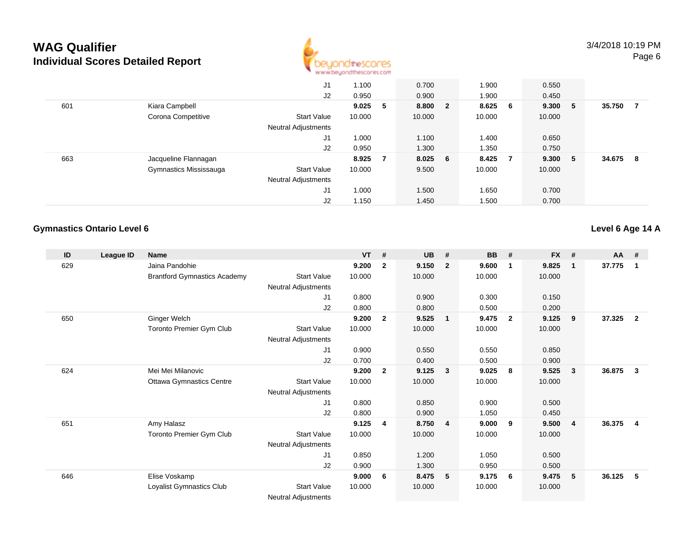

|     |                        | J <sub>1</sub>             | 1.100  |    | 0.700   |                         | 1.900  |                 | 0.550  |             |        |   |
|-----|------------------------|----------------------------|--------|----|---------|-------------------------|--------|-----------------|--------|-------------|--------|---|
|     |                        | J2                         | 0.950  |    | 0.900   |                         | 1.900  |                 | 0.450  |             |        |   |
| 601 | Kiara Campbell         |                            | 9.025  | -5 | 8.800   | $\overline{\mathbf{2}}$ | 8.625  | $6\overline{6}$ | 9.300  | $5^{\circ}$ | 35.750 |   |
|     | Corona Competitive     | <b>Start Value</b>         | 10.000 |    | 10.000  |                         | 10.000 |                 | 10.000 |             |        |   |
|     |                        | <b>Neutral Adjustments</b> |        |    |         |                         |        |                 |        |             |        |   |
|     |                        | J1                         | 1.000  |    | 1.100   |                         | 1.400  |                 | 0.650  |             |        |   |
|     |                        | J2                         | 0.950  |    | 1.300   |                         | 1.350  |                 | 0.750  |             |        |   |
| 663 | Jacqueline Flannagan   |                            | 8.925  | -7 | 8.025 6 |                         | 8.425  | - 7             | 9.300  | - 5         | 34.675 | 8 |
|     | Gymnastics Mississauga | <b>Start Value</b>         | 10.000 |    | 9.500   |                         | 10.000 |                 | 10.000 |             |        |   |
|     |                        | <b>Neutral Adjustments</b> |        |    |         |                         |        |                 |        |             |        |   |
|     |                        | J <sub>1</sub>             | 1.000  |    | 1.500   |                         | 1.650  |                 | 0.700  |             |        |   |
|     |                        | J2                         | 1.150  |    | 1.450   |                         | 1.500  |                 | 0.700  |             |        |   |

#### **Gymnastics Ontario Level 6**

**Level 6 Age 14 A**

| ID  | League ID | <b>Name</b>                         |                            | <b>VT</b> | #              | <b>UB</b> | #              | <b>BB</b> | #                       | <b>FX</b> | #            | AA #   |                |
|-----|-----------|-------------------------------------|----------------------------|-----------|----------------|-----------|----------------|-----------|-------------------------|-----------|--------------|--------|----------------|
| 629 |           | Jaina Pandohie                      |                            | 9.200     | $\mathbf{2}$   | 9.150     | $\overline{2}$ | 9.600     | $\mathbf 1$             | 9.825     | $\mathbf{1}$ | 37.775 | -1             |
|     |           | <b>Brantford Gymnastics Academy</b> | <b>Start Value</b>         | 10.000    |                | 10.000    |                | 10.000    |                         | 10.000    |              |        |                |
|     |           |                                     | <b>Neutral Adjustments</b> |           |                |           |                |           |                         |           |              |        |                |
|     |           |                                     | J1                         | 0.800     |                | 0.900     |                | 0.300     |                         | 0.150     |              |        |                |
|     |           |                                     | J2                         | 0.800     |                | 0.800     |                | 0.500     |                         | 0.200     |              |        |                |
| 650 |           | Ginger Welch                        |                            | 9.200     | $\overline{2}$ | 9.525     | $\overline{1}$ | 9.475     | $\overline{\mathbf{2}}$ | 9.125     | 9            | 37.325 | $\overline{2}$ |
|     |           | Toronto Premier Gym Club            | <b>Start Value</b>         | 10.000    |                | 10.000    |                | 10.000    |                         | 10.000    |              |        |                |
|     |           |                                     | <b>Neutral Adjustments</b> |           |                |           |                |           |                         |           |              |        |                |
|     |           |                                     | J1                         | 0.900     |                | 0.550     |                | 0.550     |                         | 0.850     |              |        |                |
|     |           |                                     | J <sub>2</sub>             | 0.700     |                | 0.400     |                | 0.500     |                         | 0.900     |              |        |                |
| 624 |           | Mei Mei Milanovic                   |                            | 9.200     | $\mathbf{2}$   | 9.125     | $\mathbf{3}$   | 9.025     | -8                      | 9.525     | 3            | 36.875 | 3              |
|     |           | <b>Ottawa Gymnastics Centre</b>     | <b>Start Value</b>         | 10.000    |                | 10.000    |                | 10.000    |                         | 10.000    |              |        |                |
|     |           |                                     | <b>Neutral Adjustments</b> |           |                |           |                |           |                         |           |              |        |                |
|     |           |                                     | J1                         | 0.800     |                | 0.850     |                | 0.900     |                         | 0.500     |              |        |                |
|     |           |                                     | J2                         | 0.800     |                | 0.900     |                | 1.050     |                         | 0.450     |              |        |                |
| 651 |           | Amy Halasz                          |                            | 9.125     | $\overline{4}$ | 8.750     | $\overline{4}$ | 9.000     | 9                       | 9.500     | 4            | 36.375 | $\overline{4}$ |
|     |           | <b>Toronto Premier Gym Club</b>     | <b>Start Value</b>         | 10.000    |                | 10.000    |                | 10.000    |                         | 10.000    |              |        |                |
|     |           |                                     | <b>Neutral Adjustments</b> |           |                |           |                |           |                         |           |              |        |                |
|     |           |                                     | J1                         | 0.850     |                | 1.200     |                | 1.050     |                         | 0.500     |              |        |                |
|     |           |                                     | J <sub>2</sub>             | 0.900     |                | 1.300     |                | 0.950     |                         | 0.500     |              |        |                |
| 646 |           | Elise Voskamp                       |                            | 9.000     | 6              | 8.475     | - 5            | 9.175     | - 6                     | 9.475     | 5            | 36.125 | -5             |
|     |           | Loyalist Gymnastics Club            | <b>Start Value</b>         | 10.000    |                | 10.000    |                | 10.000    |                         | 10.000    |              |        |                |
|     |           |                                     | <b>Neutral Adjustments</b> |           |                |           |                |           |                         |           |              |        |                |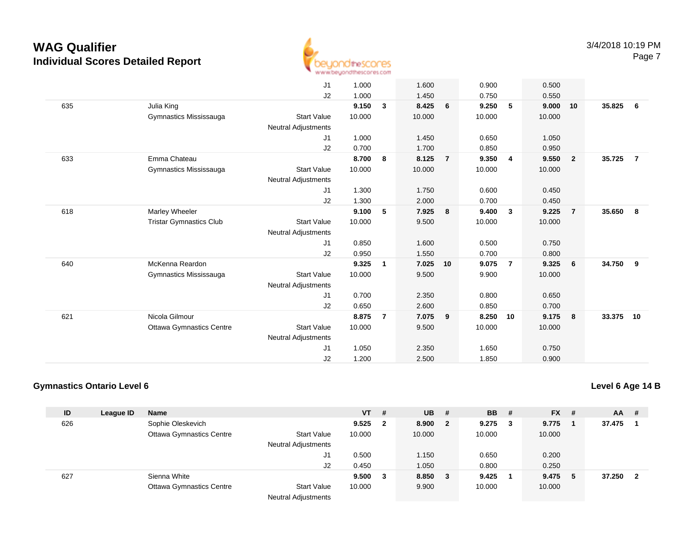

|     |                                                   | J1<br>J2                                                     | 1.000<br>1.000                    |                | 1.600<br>1.450                    |                | 0.900<br>0.750                    |                | 0.500<br>0.550                    |                         |        |                |
|-----|---------------------------------------------------|--------------------------------------------------------------|-----------------------------------|----------------|-----------------------------------|----------------|-----------------------------------|----------------|-----------------------------------|-------------------------|--------|----------------|
| 635 | Julia King<br>Gymnastics Mississauga              | <b>Start Value</b><br><b>Neutral Adjustments</b>             | 9.150<br>10.000                   | 3              | 8.425<br>10.000                   | 6              | 9.250<br>10.000                   | 5              | 9.000<br>10.000                   | 10                      | 35.825 | - 6            |
|     |                                                   | J1<br>J2                                                     | 1.000<br>0.700                    |                | 1.450<br>1.700                    |                | 0.650<br>0.850                    |                | 1.050<br>0.950                    |                         |        |                |
| 633 | Emma Chateau<br>Gymnastics Mississauga            | <b>Start Value</b><br><b>Neutral Adjustments</b><br>J1<br>J2 | 8.700<br>10.000<br>1.300<br>1.300 | 8              | 8.125<br>10.000<br>1.750<br>2.000 | $\overline{7}$ | 9.350<br>10.000<br>0.600<br>0.700 | 4              | 9.550<br>10.000<br>0.450<br>0.450 | $\overline{\mathbf{2}}$ | 35.725 | $\overline{7}$ |
| 618 | Marley Wheeler<br><b>Tristar Gymnastics Club</b>  | <b>Start Value</b><br><b>Neutral Adjustments</b><br>J1<br>J2 | 9.100<br>10.000<br>0.850<br>0.950 | 5              | 7.925<br>9.500<br>1.600<br>1.550  | 8              | 9.400<br>10.000<br>0.500<br>0.700 | $\mathbf{3}$   | 9.225<br>10.000<br>0.750<br>0.800 | $\overline{7}$          | 35.650 | 8              |
| 640 | McKenna Reardon<br>Gymnastics Mississauga         | <b>Start Value</b><br><b>Neutral Adjustments</b><br>J1<br>J2 | 9.325<br>10.000<br>0.700<br>0.650 | 1              | 7.025<br>9.500<br>2.350<br>2.600  | 10             | 9.075<br>9.900<br>0.800<br>0.850  | $\overline{7}$ | 9.325<br>10.000<br>0.650<br>0.700 | 6                       | 34.750 | 9              |
| 621 | Nicola Gilmour<br><b>Ottawa Gymnastics Centre</b> | <b>Start Value</b><br><b>Neutral Adjustments</b><br>J1<br>J2 | 8.875<br>10.000<br>1.050<br>1.200 | $\overline{7}$ | 7.075<br>9.500<br>2.350<br>2.500  | 9              | 8.250<br>10.000<br>1.650<br>1.850 | 10             | 9.175<br>10.000<br>0.750<br>0.900 | 8                       | 33.375 | 10             |

#### **Gymnastics Ontario Level 6**

| ID  | League ID | <b>Name</b>                     |                            | $VT$ # |                         | $UB$ #  |                | <b>BB</b>   | - # | $FX$ #  | <b>AA</b> | - #            |
|-----|-----------|---------------------------------|----------------------------|--------|-------------------------|---------|----------------|-------------|-----|---------|-----------|----------------|
| 626 |           | Sophie Oleskevich               |                            | 9.525  | $\overline{\mathbf{2}}$ | 8.900   | $\overline{2}$ | $9.275 \t3$ |     | 9.775   | 37.475    | $\blacksquare$ |
|     |           | <b>Ottawa Gymnastics Centre</b> | <b>Start Value</b>         | 10.000 |                         | 10.000  |                | 10.000      |     | 10.000  |           |                |
|     |           |                                 | <b>Neutral Adjustments</b> |        |                         |         |                |             |     |         |           |                |
|     |           |                                 | J1                         | 0.500  |                         | 1.150   |                | 0.650       |     | 0.200   |           |                |
|     |           |                                 | J <sub>2</sub>             | 0.450  |                         | 1.050   |                | 0.800       |     | 0.250   |           |                |
| 627 |           | Sienna White                    |                            | 9.500  | 3                       | 8.850 3 |                | 9.425       |     | 9.475 5 | 37.250    | - 2            |
|     |           | <b>Ottawa Gymnastics Centre</b> | <b>Start Value</b>         | 10.000 |                         | 9.900   |                | 10.000      |     | 10.000  |           |                |
|     |           |                                 | <b>Neutral Adjustments</b> |        |                         |         |                |             |     |         |           |                |

**Level 6 Age 14 B**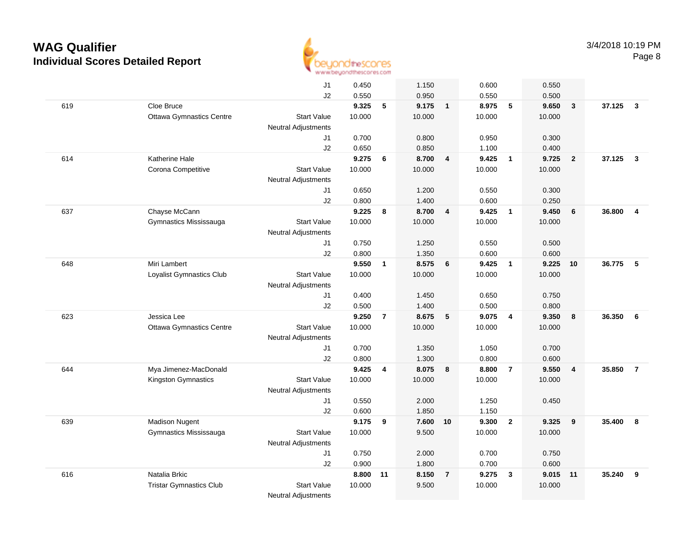

|     |                                 | J1                         | 0.450  |                | 1.150     |                         | 0.600  |                         | 0.550  |                         |          |                         |
|-----|---------------------------------|----------------------------|--------|----------------|-----------|-------------------------|--------|-------------------------|--------|-------------------------|----------|-------------------------|
|     |                                 | J2                         | 0.550  |                | 0.950     |                         | 0.550  |                         | 0.500  |                         |          |                         |
| 619 | Cloe Bruce                      |                            | 9.325  | 5              | $9.175$ 1 |                         | 8.975  | $-5$                    | 9.650  | $\overline{\mathbf{3}}$ | 37.125   | $\overline{\mathbf{3}}$ |
|     | <b>Ottawa Gymnastics Centre</b> | <b>Start Value</b>         | 10.000 |                | 10.000    |                         | 10.000 |                         | 10.000 |                         |          |                         |
|     |                                 | <b>Neutral Adjustments</b> |        |                |           |                         |        |                         |        |                         |          |                         |
|     |                                 | J1                         | 0.700  |                | 0.800     |                         | 0.950  |                         | 0.300  |                         |          |                         |
|     |                                 | J2                         | 0.650  |                | 0.850     |                         | 1.100  |                         | 0.400  |                         |          |                         |
| 614 | Katherine Hale                  |                            | 9.275  | 6              | 8.700     | $\overline{4}$          | 9.425  | $\overline{\mathbf{1}}$ | 9.725  | $\overline{2}$          | 37.125   | $\mathbf{3}$            |
|     | Corona Competitive              | <b>Start Value</b>         | 10.000 |                | 10.000    |                         | 10.000 |                         | 10.000 |                         |          |                         |
|     |                                 | <b>Neutral Adjustments</b> |        |                |           |                         |        |                         |        |                         |          |                         |
|     |                                 | J1                         | 0.650  |                | 1.200     |                         | 0.550  |                         | 0.300  |                         |          |                         |
|     |                                 | J2                         | 0.800  |                | 1.400     |                         | 0.600  |                         | 0.250  |                         |          |                         |
| 637 | Chayse McCann                   |                            | 9.225  | 8              | 8.700     | $\overline{\mathbf{4}}$ | 9.425  | $\overline{1}$          | 9.450  | 6                       | 36.800   | $\overline{\mathbf{4}}$ |
|     | Gymnastics Mississauga          | <b>Start Value</b>         | 10.000 |                | 10.000    |                         | 10.000 |                         | 10.000 |                         |          |                         |
|     |                                 | <b>Neutral Adjustments</b> | 0.750  |                | 1.250     |                         | 0.550  |                         | 0.500  |                         |          |                         |
|     |                                 | J1<br>J2                   | 0.800  |                | 1.350     |                         | 0.600  |                         | 0.600  |                         |          |                         |
| 648 | Miri Lambert                    |                            | 9.550  | $\mathbf{1}$   | 8.575 6   |                         | 9.425  | $\overline{\mathbf{1}}$ | 9.225  | 10                      | 36.775 5 |                         |
|     | Loyalist Gymnastics Club        | Start Value                | 10.000 |                | 10.000    |                         | 10.000 |                         | 10.000 |                         |          |                         |
|     |                                 | <b>Neutral Adjustments</b> |        |                |           |                         |        |                         |        |                         |          |                         |
|     |                                 | J1                         | 0.400  |                | 1.450     |                         | 0.650  |                         | 0.750  |                         |          |                         |
|     |                                 | J2                         | 0.500  |                | 1.400     |                         | 0.500  |                         | 0.800  |                         |          |                         |
| 623 | Jessica Lee                     |                            | 9.250  | $\overline{7}$ | 8.675     | $5\phantom{.0}$         | 9.075  | $\overline{4}$          | 9.350  | 8                       | 36.350   | 6                       |
|     | <b>Ottawa Gymnastics Centre</b> | <b>Start Value</b>         | 10.000 |                | 10.000    |                         | 10.000 |                         | 10.000 |                         |          |                         |
|     |                                 | <b>Neutral Adjustments</b> |        |                |           |                         |        |                         |        |                         |          |                         |
|     |                                 | J1                         | 0.700  |                | 1.350     |                         | 1.050  |                         | 0.700  |                         |          |                         |
|     |                                 | J2                         | 0.800  |                | 1.300     |                         | 0.800  |                         | 0.600  |                         |          |                         |
| 644 | Mya Jimenez-MacDonald           |                            | 9.425  | 4              | 8.075     | 8                       | 8.800  | $\overline{7}$          | 9.550  | $\overline{4}$          | 35.850   | $\overline{7}$          |
|     | Kingston Gymnastics             | <b>Start Value</b>         | 10.000 |                | 10.000    |                         | 10.000 |                         | 10.000 |                         |          |                         |
|     |                                 | <b>Neutral Adjustments</b> |        |                |           |                         |        |                         |        |                         |          |                         |
|     |                                 | J1                         | 0.550  |                | 2.000     |                         | 1.250  |                         | 0.450  |                         |          |                         |
|     |                                 | J2                         | 0.600  |                | 1.850     |                         | 1.150  |                         |        |                         |          |                         |
| 639 | <b>Madison Nugent</b>           |                            | 9.175  | 9              | 7.600 10  |                         | 9.300  | $\overline{2}$          | 9.325  | 9                       | 35.400   | 8                       |
|     | Gymnastics Mississauga          | <b>Start Value</b>         | 10.000 |                | 9.500     |                         | 10.000 |                         | 10.000 |                         |          |                         |
|     |                                 | <b>Neutral Adjustments</b> |        |                |           |                         |        |                         |        |                         |          |                         |
|     |                                 | J1                         | 0.750  |                | 2.000     |                         | 0.700  |                         | 0.750  |                         |          |                         |
|     |                                 | J2                         | 0.900  |                | 1.800     |                         | 0.700  |                         | 0.600  |                         |          |                         |
| 616 | Natalia Brkic                   |                            | 8.800  | 11             | 8.150     | $\overline{7}$          | 9.275  | $\mathbf{3}$            | 9.015  | $-11$                   | 35.240   | 9                       |
|     | <b>Tristar Gymnastics Club</b>  | <b>Start Value</b>         | 10.000 |                | 9.500     |                         | 10.000 |                         | 10.000 |                         |          |                         |
|     |                                 | <b>Neutral Adjustments</b> |        |                |           |                         |        |                         |        |                         |          |                         |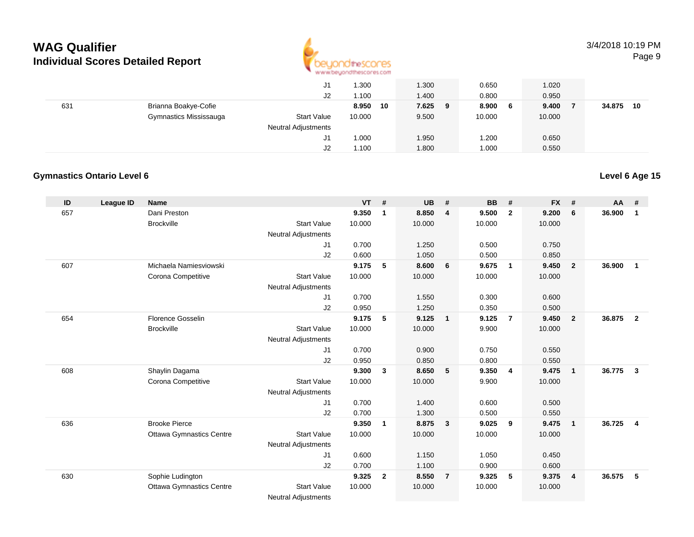

|     |                        | J1                         | 1.300       | 1.300      | 0.650        | 1.020  |              |
|-----|------------------------|----------------------------|-------------|------------|--------------|--------|--------------|
|     |                        | J2                         | 1.100       | 1.400      | 0.800        | 0.950  |              |
| 631 | Brianna Boakye-Cofie   |                            | 8.950<br>10 | 7.625<br>9 | 8.900<br>- 6 | 9.400  | 34.875<br>10 |
|     | Gymnastics Mississauga | <b>Start Value</b>         | 10.000      | 9.500      | 10.000       | 10.000 |              |
|     |                        | <b>Neutral Adjustments</b> |             |            |              |        |              |
|     |                        | J1                         | 1.000       | 1.950      | .200         | 0.650  |              |
|     |                        | J2                         | 1.100       | 1.800      | 1.000        | 0.550  |              |

#### **Gymnastics Ontario Level 6Level 6 Age 15**

#### **ID League ID Name VT # UB # BB # FX # AA #** 657 Dani Preston **9.350 <sup>1</sup> 8.850 <sup>4</sup> 9.500 <sup>2</sup> 9.200 <sup>6</sup> 36.900 <sup>1</sup> Brockville**  Start Value 10.000 10.000 10.000 10.000 Neutral Adjustments J1 0.700 1.250 0.500 0.750 J2 0.600 1.050 0.500 0.850 607 Michaela Namiesviowski **9.175 <sup>5</sup> 8.600 <sup>6</sup> 9.675 <sup>1</sup> 9.450 <sup>2</sup> 36.900 <sup>1</sup>** Corona Competitive Start Value 10.000 10.000 10.000 10.000 Neutral Adjustments J1 0.700 1.550 0.300 0.600 J2 0.950 1.250 0.350 0.500 654 Florence Gosselin **9.175 <sup>5</sup> 9.125 <sup>1</sup> 9.125 <sup>7</sup> 9.450 <sup>2</sup> 36.875 <sup>2</sup> Brockville**  Start Value 10.000 10.000 9.900 10.000 Neutral Adjustments J1 0.700 0.900 0.750 0.550 J2 0.950 0.850 0.800 0.550 608 Shaylin Dagama **9.300 <sup>3</sup> 8.650 <sup>5</sup> 9.350 <sup>4</sup> 9.475 <sup>1</sup> 36.775 <sup>3</sup>** Corona Competitive Start Value 10.000 10.000 9.900 10.000 Neutral Adjustments J1 0.700 1.400 0.600 0.500 J2 0.700 1.300 0.500 0.550 636 Brooke Pierce **9.350 <sup>1</sup> 8.875 <sup>3</sup> 9.025 <sup>9</sup> 9.475 <sup>1</sup> 36.725 <sup>4</sup>** Ottawa Gymnastics Centre Start Value 10.000 10.000 10.000 10.000 Neutral Adjustments J1 0.600 1.150 1.050 0.450 J2 0.700 1.100 0.900 0.600 630 Sophie Ludington **9.325 <sup>2</sup> 8.550 <sup>7</sup> 9.325 <sup>5</sup> 9.375 <sup>4</sup> 36.575 <sup>5</sup>** Ottawa Gymnastics CentreStart Value 10.000 10.000 10.000 10.000

Neutral Adjustments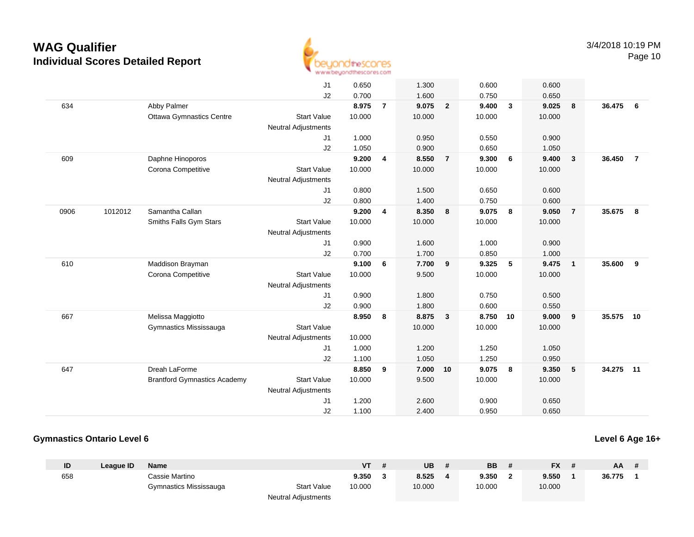

|      |         |                                     | J1                         | 0.650  |                | 1.300  |                         | 0.600  |              | 0.600  |                          |           |                |
|------|---------|-------------------------------------|----------------------------|--------|----------------|--------|-------------------------|--------|--------------|--------|--------------------------|-----------|----------------|
|      |         |                                     | J2                         | 0.700  |                | 1.600  |                         | 0.750  |              | 0.650  |                          |           |                |
| 634  |         | Abby Palmer                         |                            | 8.975  | $\overline{7}$ | 9.075  | $\overline{2}$          | 9.400  | $\mathbf{3}$ | 9.025  | 8                        | 36.475    | 6              |
|      |         | <b>Ottawa Gymnastics Centre</b>     | <b>Start Value</b>         | 10.000 |                | 10.000 |                         | 10.000 |              | 10.000 |                          |           |                |
|      |         |                                     | <b>Neutral Adjustments</b> |        |                |        |                         |        |              |        |                          |           |                |
|      |         |                                     | J1                         | 1.000  |                | 0.950  |                         | 0.550  |              | 0.900  |                          |           |                |
|      |         |                                     | J2                         | 1.050  |                | 0.900  |                         | 0.650  |              | 1.050  |                          |           |                |
| 609  |         | Daphne Hinoporos                    |                            | 9.200  | 4              | 8.550  | $\overline{7}$          | 9.300  | 6            | 9.400  | $\overline{\mathbf{3}}$  | 36.450    | $\overline{7}$ |
|      |         | Corona Competitive                  | <b>Start Value</b>         | 10.000 |                | 10.000 |                         | 10.000 |              | 10.000 |                          |           |                |
|      |         |                                     | <b>Neutral Adjustments</b> |        |                |        |                         |        |              |        |                          |           |                |
|      |         |                                     | J1                         | 0.800  |                | 1.500  |                         | 0.650  |              | 0.600  |                          |           |                |
|      |         |                                     | J2                         | 0.800  |                | 1.400  |                         | 0.750  |              | 0.600  |                          |           |                |
| 0906 | 1012012 | Samantha Callan                     |                            | 9.200  | 4              | 8.350  | 8                       | 9.075  | 8            | 9.050  | $\overline{7}$           | 35.675    | 8              |
|      |         | Smiths Falls Gym Stars              | <b>Start Value</b>         | 10.000 |                | 10.000 |                         | 10.000 |              | 10.000 |                          |           |                |
|      |         |                                     | <b>Neutral Adjustments</b> |        |                |        |                         |        |              |        |                          |           |                |
|      |         |                                     | J1                         | 0.900  |                | 1.600  |                         | 1.000  |              | 0.900  |                          |           |                |
|      |         |                                     | J2                         | 0.700  |                | 1.700  |                         | 0.850  |              | 1.000  |                          |           |                |
| 610  |         | Maddison Brayman                    |                            | 9.100  | 6              | 7.700  | 9                       | 9.325  | 5            | 9.475  | $\overline{\phantom{0}}$ | 35.600    | 9              |
|      |         | Corona Competitive                  | <b>Start Value</b>         | 10.000 |                | 9.500  |                         | 10.000 |              | 10.000 |                          |           |                |
|      |         |                                     | <b>Neutral Adjustments</b> |        |                |        |                         |        |              |        |                          |           |                |
|      |         |                                     | J1                         | 0.900  |                | 1.800  |                         | 0.750  |              | 0.500  |                          |           |                |
|      |         |                                     | J2                         | 0.900  |                | 1.800  |                         | 0.600  |              | 0.550  |                          |           |                |
| 667  |         | Melissa Maggiotto                   |                            | 8.950  | 8              | 8.875  | $\overline{\mathbf{3}}$ | 8.750  | 10           | 9.000  | 9                        | 35.575 10 |                |
|      |         | Gymnastics Mississauga              | <b>Start Value</b>         |        |                | 10.000 |                         | 10.000 |              | 10.000 |                          |           |                |
|      |         |                                     | <b>Neutral Adjustments</b> | 10.000 |                |        |                         |        |              |        |                          |           |                |
|      |         |                                     | J1                         | 1.000  |                | 1.200  |                         | 1.250  |              | 1.050  |                          |           |                |
|      |         |                                     | J2                         | 1.100  |                | 1.050  |                         | 1.250  |              | 0.950  |                          |           |                |
| 647  |         | Dreah LaForme                       |                            | 8.850  | 9              | 7.000  | 10                      | 9.075  | 8            | 9.350  | $5\phantom{.0}$          | 34.275 11 |                |
|      |         | <b>Brantford Gymnastics Academy</b> | <b>Start Value</b>         | 10.000 |                | 9.500  |                         | 10.000 |              | 10.000 |                          |           |                |
|      |         |                                     | <b>Neutral Adjustments</b> |        |                |        |                         |        |              |        |                          |           |                |
|      |         |                                     | J1                         | 1.200  |                | 2.600  |                         | 0.900  |              | 0.650  |                          |           |                |
|      |         |                                     | J2                         | 1.100  |                | 2.400  |                         | 0.950  |              | 0.650  |                          |           |                |
|      |         |                                     |                            |        |                |        |                         |        |              |        |                          |           |                |

#### **Gymnastics Ontario Level 6**

### **Level 6 Age 16+**

| ID  | League ID | <b>Name</b>            |                            | VT     | UB     | <b>BB</b> | <b>FX</b> | AA.    |  |
|-----|-----------|------------------------|----------------------------|--------|--------|-----------|-----------|--------|--|
| 658 |           | Cassie Martino         |                            | 9.350  | 8.525  | 9.350     | 9.550     | 36.775 |  |
|     |           | Gymnastics Mississauga | <b>Start Value</b>         | 10.000 | 10.000 | 10.000    | 10.000    |        |  |
|     |           |                        | <b>Neutral Adjustments</b> |        |        |           |           |        |  |